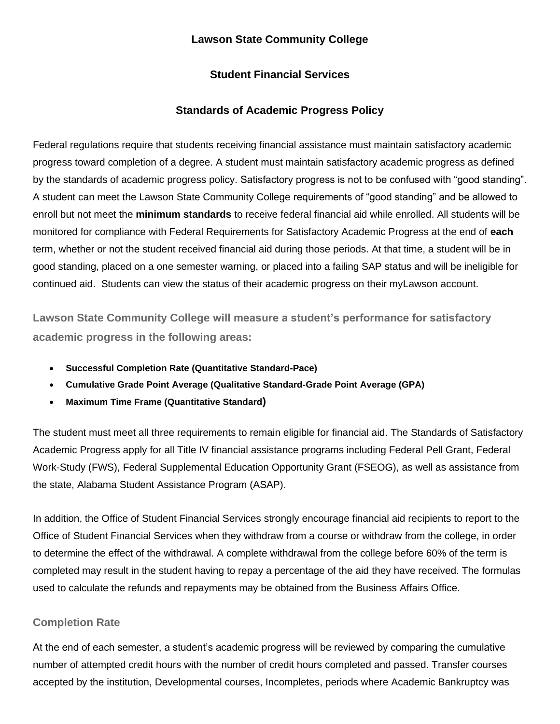#### **Lawson State Community College**

#### **Student Financial Services**

#### **Standards of Academic Progress Policy**

Federal regulations require that students receiving financial assistance must maintain satisfactory academic progress toward completion of a degree. A student must maintain satisfactory academic progress as defined by the standards of academic progress policy. Satisfactory progress is not to be confused with "good standing". A student can meet the Lawson State Community College requirements of "good standing" and be allowed to enroll but not meet the **minimum standards** to receive federal financial aid while enrolled. All students will be monitored for compliance with Federal Requirements for Satisfactory Academic Progress at the end of **each** term, whether or not the student received financial aid during those periods. At that time, a student will be in good standing, placed on a one semester warning, or placed into a failing SAP status and will be ineligible for continued aid. Students can view the status of their academic progress on their myLawson account.

**Lawson State Community College will measure a student's performance for satisfactory academic progress in the following areas:**

- **Successful Completion Rate (Quantitative Standard-Pace)**
- **Cumulative Grade Point Average (Qualitative Standard-Grade Point Average (GPA)**
- **Maximum Time Frame (Quantitative Standard)**

The student must meet all three requirements to remain eligible for financial aid. The Standards of Satisfactory Academic Progress apply for all Title IV financial assistance programs including Federal Pell Grant, Federal Work-Study (FWS), Federal Supplemental Education Opportunity Grant (FSEOG), as well as assistance from the state, Alabama Student Assistance Program (ASAP).

In addition, the Office of Student Financial Services strongly encourage financial aid recipients to report to the Office of Student Financial Services when they withdraw from a course or withdraw from the college, in order to determine the effect of the withdrawal. A complete withdrawal from the college before 60% of the term is completed may result in the student having to repay a percentage of the aid they have received. The formulas used to calculate the refunds and repayments may be obtained from the Business Affairs Office.

#### **Completion Rate**

At the end of each semester, a student's academic progress will be reviewed by comparing the cumulative number of attempted credit hours with the number of credit hours completed and passed. Transfer courses accepted by the institution, Developmental courses, Incompletes, periods where Academic Bankruptcy was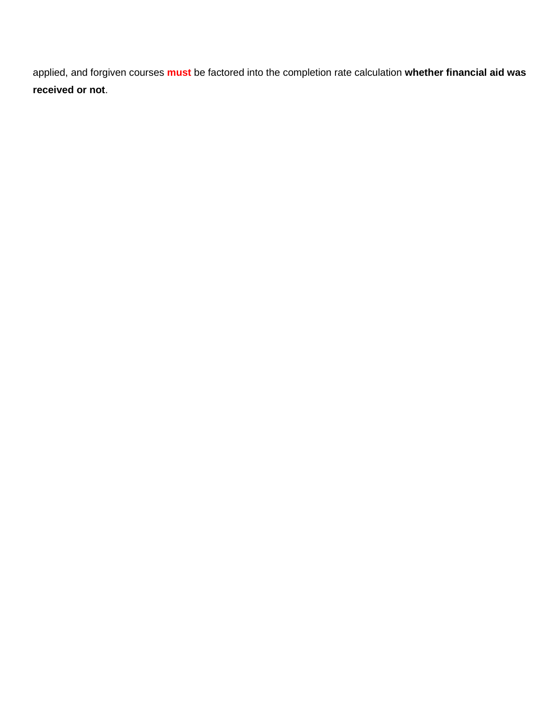applied, and forgiven courses **must** be factored into the completion rate calculation **whether financial aid was received or not**.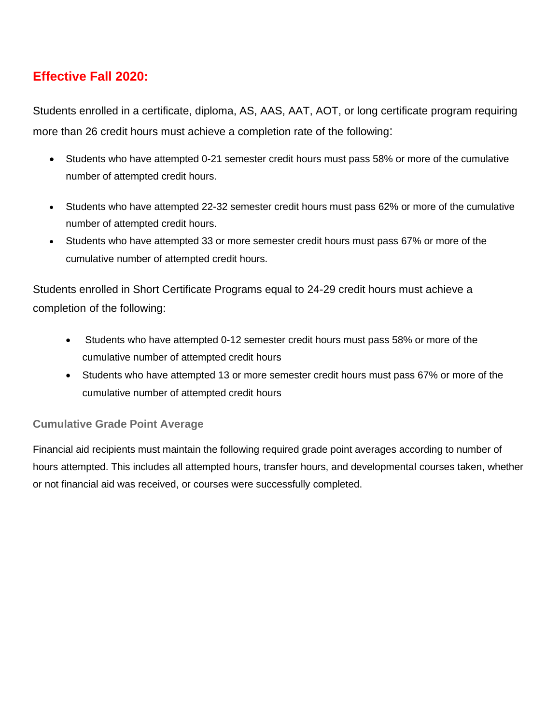### **Effective Fall 2020:**

Students enrolled in a certificate, diploma, AS, AAS, AAT, AOT, or long certificate program requiring more than 26 credit hours must achieve a completion rate of the following:

- Students who have attempted 0-21 semester credit hours must pass 58% or more of the cumulative number of attempted credit hours.
- Students who have attempted 22-32 semester credit hours must pass 62% or more of the cumulative number of attempted credit hours.
- Students who have attempted 33 or more semester credit hours must pass 67% or more of the cumulative number of attempted credit hours.

Students enrolled in Short Certificate Programs equal to 24-29 credit hours must achieve a completion of the following:

- Students who have attempted 0-12 semester credit hours must pass 58% or more of the cumulative number of attempted credit hours
- Students who have attempted 13 or more semester credit hours must pass 67% or more of the cumulative number of attempted credit hours

#### **Cumulative Grade Point Average**

Financial aid recipients must maintain the following required grade point averages according to number of hours attempted. This includes all attempted hours, transfer hours, and developmental courses taken, whether or not financial aid was received, or courses were successfully completed.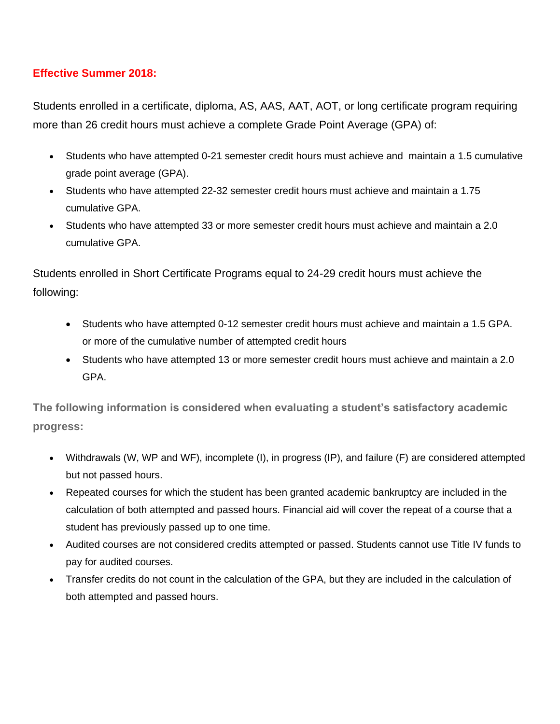#### **Effective Summer 2018:**

Students enrolled in a certificate, diploma, AS, AAS, AAT, AOT, or long certificate program requiring more than 26 credit hours must achieve a complete Grade Point Average (GPA) of:

- Students who have attempted 0-21 semester credit hours must achieve and maintain a 1.5 cumulative grade point average (GPA).
- Students who have attempted 22-32 semester credit hours must achieve and maintain a 1.75 cumulative GPA.
- Students who have attempted 33 or more semester credit hours must achieve and maintain a 2.0 cumulative GPA.

Students enrolled in Short Certificate Programs equal to 24-29 credit hours must achieve the following:

- Students who have attempted 0-12 semester credit hours must achieve and maintain a 1.5 GPA. or more of the cumulative number of attempted credit hours
- Students who have attempted 13 or more semester credit hours must achieve and maintain a 2.0 GPA.

**The following information is considered when evaluating a student's satisfactory academic progress:**

- Withdrawals (W, WP and WF), incomplete (I), in progress (IP), and failure (F) are considered attempted but not passed hours.
- Repeated courses for which the student has been granted academic bankruptcy are included in the calculation of both attempted and passed hours. Financial aid will cover the repeat of a course that a student has previously passed up to one time.
- Audited courses are not considered credits attempted or passed. Students cannot use Title IV funds to pay for audited courses.
- Transfer credits do not count in the calculation of the GPA, but they are included in the calculation of both attempted and passed hours.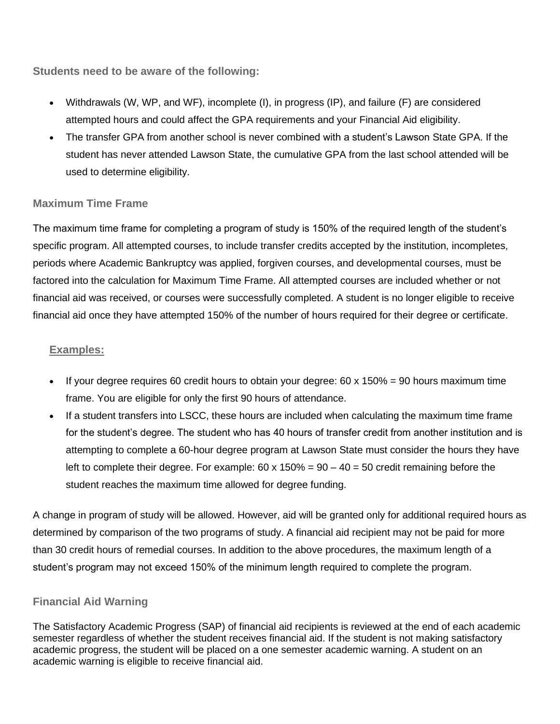**Students need to be aware of the following:**

- Withdrawals (W, WP, and WF), incomplete (I), in progress (IP), and failure (F) are considered attempted hours and could affect the GPA requirements and your Financial Aid eligibility.
- The transfer GPA from another school is never combined with a student's Lawson State GPA. If the student has never attended Lawson State, the cumulative GPA from the last school attended will be used to determine eligibility.

#### **Maximum Time Frame**

The maximum time frame for completing a program of study is 150% of the required length of the student's specific program. All attempted courses, to include transfer credits accepted by the institution, incompletes, periods where Academic Bankruptcy was applied, forgiven courses, and developmental courses, must be factored into the calculation for Maximum Time Frame. All attempted courses are included whether or not financial aid was received, or courses were successfully completed. A student is no longer eligible to receive financial aid once they have attempted 150% of the number of hours required for their degree or certificate.

#### **Examples:**

- If your degree requires 60 credit hours to obtain your degree:  $60 \times 150\% = 90$  hours maximum time frame. You are eligible for only the first 90 hours of attendance.
- If a student transfers into LSCC, these hours are included when calculating the maximum time frame for the student's degree. The student who has 40 hours of transfer credit from another institution and is attempting to complete a 60-hour degree program at Lawson State must consider the hours they have left to complete their degree. For example:  $60 \times 150\% = 90 - 40 = 50$  credit remaining before the student reaches the maximum time allowed for degree funding.

A change in program of study will be allowed. However, aid will be granted only for additional required hours as determined by comparison of the two programs of study. A financial aid recipient may not be paid for more than 30 credit hours of remedial courses. In addition to the above procedures, the maximum length of a student's program may not exceed 150% of the minimum length required to complete the program.

#### **Financial Aid Warning**

The Satisfactory Academic Progress (SAP) of financial aid recipients is reviewed at the end of each academic semester regardless of whether the student receives financial aid. If the student is not making satisfactory academic progress, the student will be placed on a one semester academic warning. A student on an academic warning is eligible to receive financial aid.